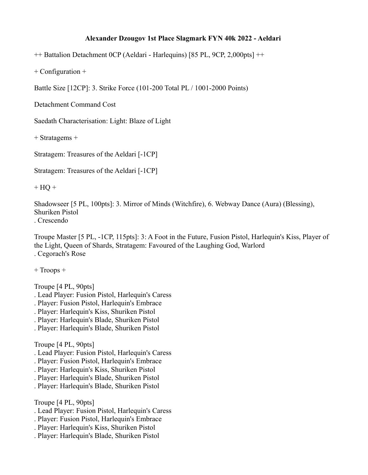## **Alexander Dzougov 1st Place Slagmark FYN 40k 2022 - Aeldari**

++ Battalion Detachment 0CP (Aeldari - Harlequins) [85 PL, 9CP, 2,000pts] ++

+ Configuration +

Battle Size [12CP]: 3. Strike Force (101-200 Total PL / 1001-2000 Points)

Detachment Command Cost

Saedath Characterisation: Light: Blaze of Light

+ Stratagems +

Stratagem: Treasures of the Aeldari [-1CP]

Stratagem: Treasures of the Aeldari [-1CP]

 $+ HQ +$ 

Shadowseer [5 PL, 100pts]: 3. Mirror of Minds (Witchfire), 6. Webway Dance (Aura) (Blessing), Shuriken Pistol

. Crescendo

Troupe Master [5 PL, -1CP, 115pts]: 3: A Foot in the Future, Fusion Pistol, Harlequin's Kiss, Player of the Light, Queen of Shards, Stratagem: Favoured of the Laughing God, Warlord . Cegorach's Rose

+ Troops +

Troupe [4 PL, 90pts]

- . Lead Player: Fusion Pistol, Harlequin's Caress
- . Player: Fusion Pistol, Harlequin's Embrace
- . Player: Harlequin's Kiss, Shuriken Pistol
- . Player: Harlequin's Blade, Shuriken Pistol
- . Player: Harlequin's Blade, Shuriken Pistol

Troupe [4 PL, 90pts]

- . Lead Player: Fusion Pistol, Harlequin's Caress
- . Player: Fusion Pistol, Harlequin's Embrace
- . Player: Harlequin's Kiss, Shuriken Pistol
- . Player: Harlequin's Blade, Shuriken Pistol
- . Player: Harlequin's Blade, Shuriken Pistol

Troupe [4 PL, 90pts]

- . Lead Player: Fusion Pistol, Harlequin's Caress
- . Player: Fusion Pistol, Harlequin's Embrace
- . Player: Harlequin's Kiss, Shuriken Pistol
- . Player: Harlequin's Blade, Shuriken Pistol